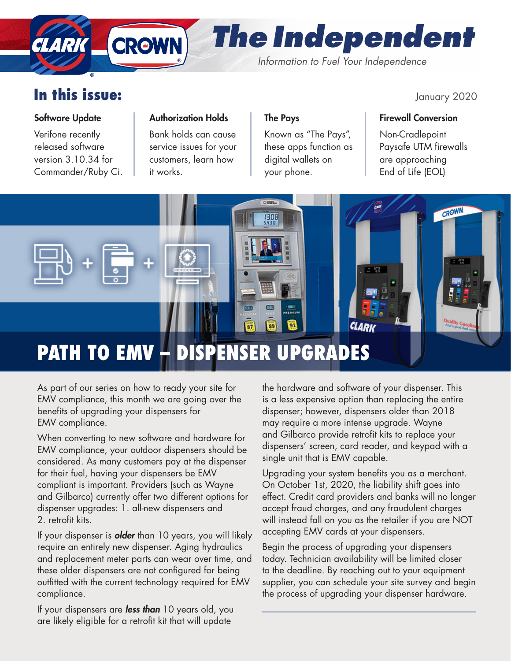# *The Independent*

*Information to Fuel Your Independence*

## In this issue: January 2020

### Software Update

**CLARK** 

Verifone recently released software version 3.10.34 for Commander/Ruby Ci.

### Authorization Holds

**CROWN** 

Bank holds can cause service issues for your customers, learn how it works.

### The Pays

Known as "The Pays", these apps function as digital wallets on your phone.

### Firewall Conversion

Non-Cradlepoint Paysafe UTM firewalls are approaching End of Life (EOL)



## PATH TO EMV – DISPENSER UPGRADES

As part of our series on how to ready your site for EMV compliance, this month we are going over the benefits of upgrading your dispensers for EMV compliance.

When converting to new software and hardware for EMV compliance, your outdoor dispensers should be considered. As many customers pay at the dispenser for their fuel, having your dispensers be EMV compliant is important. Providers (such as Wayne and Gilbarco) currently offer two different options for dispenser upgrades: 1. all-new dispensers and 2. retrofit kits.

If your dispenser is *older* than 10 years, you will likely require an entirely new dispenser. Aging hydraulics and replacement meter parts can wear over time, and these older dispensers are not configured for being outfitted with the current technology required for EMV compliance.

If your dispensers are *less than* 10 years old, you are likely eligible for a retrofit kit that will update

the hardware and software of your dispenser. This is a less expensive option than replacing the entire dispenser; however, dispensers older than 2018 may require a more intense upgrade. Wayne and Gilbarco provide retrofit kits to replace your dispensers' screen, card reader, and keypad with a single unit that is EMV capable.

Upgrading your system benefits you as a merchant. On October 1st, 2020, the liability shift goes into effect. Credit card providers and banks will no longer accept fraud charges, and any fraudulent charges will instead fall on you as the retailer if you are NOT accepting EMV cards at your dispensers.

Begin the process of upgrading your dispensers today. Technician availability will be limited closer to the deadline. By reaching out to your equipment supplier, you can schedule your site survey and begin the process of upgrading your dispenser hardware.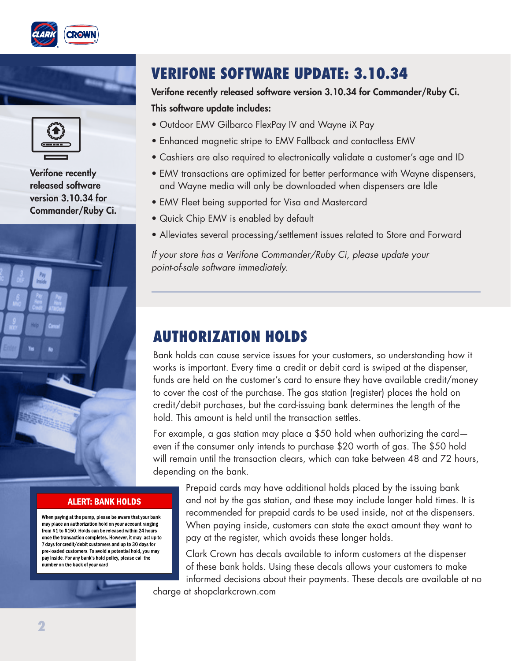





Verifone recently released software version 3.10.34 for Commander/Ruby Ci.



#### **ALERT: BANK HOLDS**

When paying at the pump, please be aware that your bank may place an authorization hold on your account ranging from \$1 to \$150. Holds can be released within 24 hours once the transaction completes. However, it may last up to 7 days for credit/debit customers and up to 30 days for pre-loaded customers. To avoid a potential hold, you may pay inside. For any bank's hold policy, please call the .<br>number on the back of your card.

### VERIFONE SOFTWARE UPDATE: 3.10.34

### Verifone recently released software version 3.10.34 for Commander/Ruby Ci. This software update includes:

- Outdoor EMV Gilbarco FlexPay IV and Wayne iX Pay
- Enhanced magnetic stripe to EMV Fallback and contactless EMV
- Cashiers are also required to electronically validate a customer's age and ID
- EMV transactions are optimized for better performance with Wayne dispensers, and Wayne media will only be downloaded when dispensers are Idle
- EMV Fleet being supported for Visa and Mastercard
- Quick Chip EMV is enabled by default
- Alleviates several processing/settlement issues related to Store and Forward

*If your store has a Verifone Commander/Ruby Ci, please update your point-of-sale software immediately.*

### AUTHORIZATION HOLDS

Bank holds can cause service issues for your customers, so understanding how it works is important. Every time a credit or debit card is swiped at the dispenser, funds are held on the customer's card to ensure they have available credit/money to cover the cost of the purchase. The gas station (register) places the hold on credit/debit purchases, but the card-issuing bank determines the length of the hold. This amount is held until the transaction settles.

For example, a gas station may place a \$50 hold when authorizing the card even if the consumer only intends to purchase \$20 worth of gas. The \$50 hold will remain until the transaction clears, which can take between 48 and 72 hours, depending on the bank.

Prepaid cards may have additional holds placed by the issuing bank and not by the gas station, and these may include longer hold times. It is recommended for prepaid cards to be used inside, not at the dispensers. When paying inside, customers can state the exact amount they want to pay at the register, which avoids these longer holds.

Clark Crown has decals available to inform customers at the dispenser of these bank holds. Using these decals allows your customers to make informed decisions about their payments. These decals are available at no charge at shopclarkcrown.com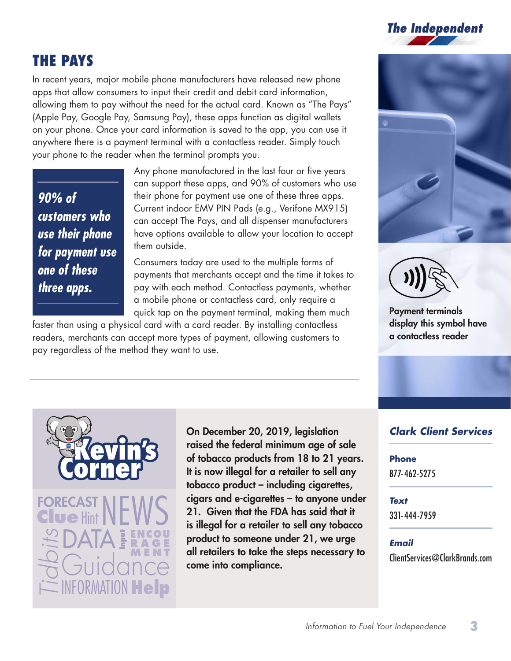

### THE PAYS

In recent years, major mobile phone manufacturers have released new phone apps that allow consumers to input their credit and debit card information, allowing them to pay without the need for the actual card. Known as "The Pays" (Apple Pay, Google Pay, Samsung Pay), these apps function as digital wallets on your phone. Once your card information is saved to the app, you can use it anywhere there is a payment terminal with a contactless reader. Simply touch your phone to the reader when the terminal prompts you.

*90% of customers who use their phone for payment use one of these three apps.*

Any phone manufactured in the last four or five years can support these apps, and 90% of customers who use their phone for payment use one of these three apps. Current indoor EMV PIN Pads (e.g., Verifone MX915) can accept The Pays, and all dispenser manufacturers have options available to allow your location to accept them outside.

Consumers today are used to the multiple forms of payments that merchants accept and the time it takes to pay with each method. Contactless payments, whether a mobile phone or contactless card, only require a quick tap on the payment terminal, making them much

faster than using a physical card with a card reader. By installing contactless readers, merchants can accept more types of payment, allowing customers to pay regardless of the method they want to use.





Payment terminals display this symbol have a contactless reader



On December 20, 2019, legislation raised the federal minimum age of sale of tobacco products from 18 to 21 years. It is now illegal for a retailer to sell any tobacco product – including cigarettes, cigars and e-cigarettes – to anyone under 21. Given that the FDA has said that it is illegal for a retailer to sell any tobacco product to someone under 21, we urge all retailers to take the steps necessary to come into compliance.

### *Clark Client Services*

#### **Phone**

877-462-5275

#### *Text*

331-444-7959

### *Email*

ClientServices@ClarkBrands.com